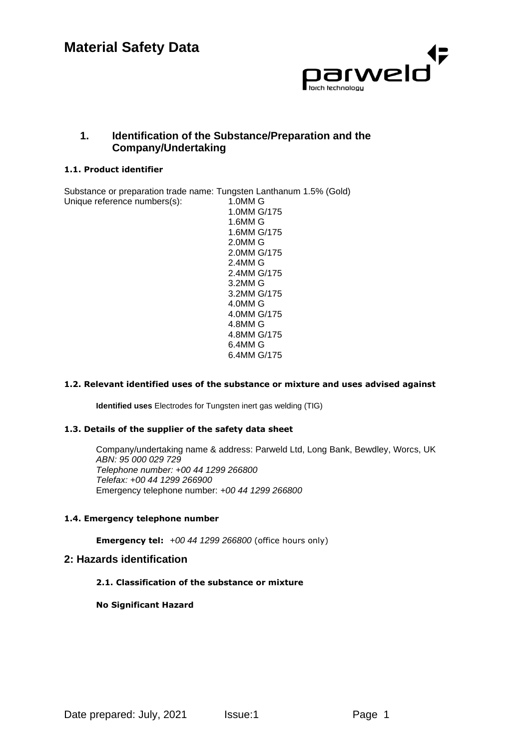

## **1. Identification of the Substance/Preparation and the Company/Undertaking**

## **1.1. Product identifier**

Substance or preparation trade name: Tungsten Lanthanum 1.5% (Gold) Unique reference numbers(s): 1.0MM G

1.0MM G/175 1.6MM G 1.6MM G/175 2.0MM G 2.0MM G/175 2.4MM G 2.4MM G/175 3.2MM G 3.2MM G/175 4.0MM G 4.0MM G/175 4.8MM G 4.8MM G/175 6.4MM G 6.4MM G/175

### **1.2. Relevant identified uses of the substance or mixture and uses advised against**

**Identified uses** Electrodes for Tungsten inert gas welding (TIG)

#### **1.3. Details of the supplier of the safety data sheet**

Company/undertaking name & address: Parweld Ltd, Long Bank, Bewdley, Worcs, UK *ABN: 95 000 029 729 Telephone number: +00 44 1299 266800 Telefax: +00 44 1299 266900*  Emergency telephone number: *+00 44 1299 266800*

### **1.4. Emergency telephone number**

**Emergency tel:** *+00 44 1299 266800* (office hours only)

## **2: Hazards identification**

### **2.1. Classification of the substance or mixture**

**No Significant Hazard**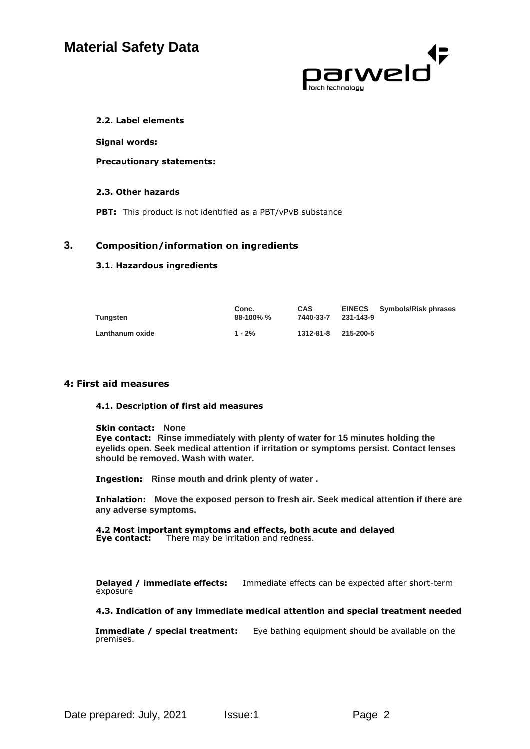

#### **2.2. Label elements**

**Signal words:** 

#### **Precautionary statements:**

#### **2.3. Other hazards**

**PBT:** This product is not identified as a PBT/vPvB substance

#### **3. Composition/information on ingredients**

#### **3.1. Hazardous ingredients**

| Tungsten        | Conc.<br>$88-100\%$ % | <b>CAS</b><br>7440-33-7 | 231-143-9 | <b>EINECS</b> Symbols/Risk phrases |
|-----------------|-----------------------|-------------------------|-----------|------------------------------------|
| Lanthanum oxide | $1 - 2%$              | 1312-81-8 215-200-5     |           |                                    |

#### **4: First aid measures**

#### **4.1. Description of first aid measures**

#### **Skin contact: None**

**Eye contact: Rinse immediately with plenty of water for 15 minutes holding the eyelids open. Seek medical attention if irritation or symptoms persist. Contact lenses should be removed. Wash with water.**

**Ingestion: Rinse mouth and drink plenty of water .**

**Inhalation: Move the exposed person to fresh air. Seek medical attention if there are any adverse symptoms.**

**4.2 Most important symptoms and effects, both acute and delayed Eye contact:** There may be irritation and redness.

**Delayed / immediate effects:** Immediate effects can be expected after short-term exposure

**4.3. Indication of any immediate medical attention and special treatment needed**

**Immediate / special treatment:** Eye bathing equipment should be available on the premises.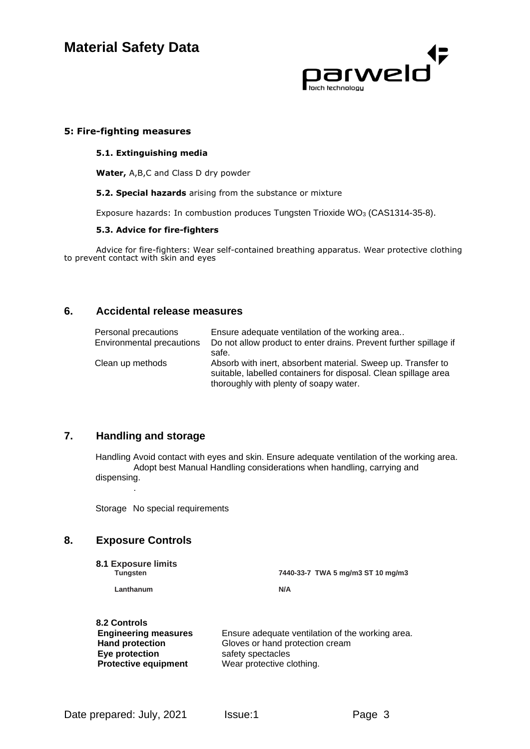

### **5: Fire-fighting measures**

#### **5.1. Extinguishing media**

**Water,** A,B,C and Class D dry powder

#### **5.2. Special hazards** arising from the substance or mixture

Exposure hazards: In combustion produces Tungsten Trioxide WO<sub>3</sub> (CAS1314-35-8).

#### **5.3. Advice for fire-fighters**

Advice for fire-fighters: Wear self-contained breathing apparatus. Wear protective clothing to prevent contact with skin and eyes

## **6. Accidental release measures**

| Personal precautions             | Ensure adequate ventilation of the working area                                                                                                                           |
|----------------------------------|---------------------------------------------------------------------------------------------------------------------------------------------------------------------------|
| <b>Environmental precautions</b> | Do not allow product to enter drains. Prevent further spillage if<br>safe.                                                                                                |
| Clean up methods                 | Absorb with inert, absorbent material. Sweep up. Transfer to<br>suitable, labelled containers for disposal. Clean spillage area<br>thoroughly with plenty of soapy water. |

## **7. Handling and storage**

Handling Avoid contact with eyes and skin. Ensure adequate ventilation of the working area. Adopt best Manual Handling considerations when handling, carrying and dispensing. .

Storage No special requirements

## **8. Exposure Controls**

| 8.1 Exposure limits<br>Tungsten | 7440-33-7 TWA 5 mg/m3 ST 10 mg/m3 |  |  |
|---------------------------------|-----------------------------------|--|--|
| Lanthanum                       | N/A                               |  |  |

| 8.2 Controls                |                                                  |
|-----------------------------|--------------------------------------------------|
| <b>Engineering measures</b> | Ensure adequate ventilation of the working area. |
| <b>Hand protection</b>      | Gloves or hand protection cream                  |
| Eye protection              | safety spectacles                                |
| <b>Protective equipment</b> | Wear protective clothing.                        |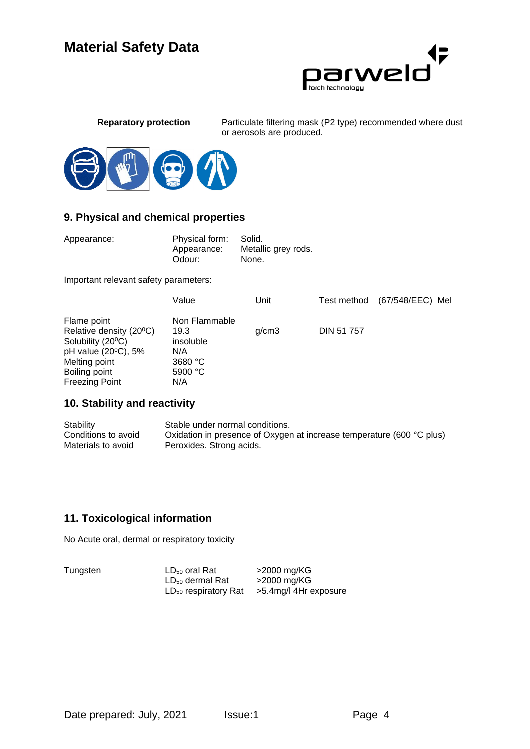



**Reparatory protection** Particulate filtering mask (P2 type) recommended where dust or aerosols are produced.



## **9. Physical and chemical properties**

| Appearance: | Physical form: | Solid.              |
|-------------|----------------|---------------------|
|             | Appearance:    | Metallic grey rods. |
|             | Odour:         | None.               |

Important relevant safety parameters:

|                                      | Value         | Unit  | Test method       | (67/548/EEC) Mel |  |
|--------------------------------------|---------------|-------|-------------------|------------------|--|
| Flame point                          | Non Flammable |       |                   |                  |  |
| Relative density (20 <sup>°</sup> C) | 19.3          | q/cm3 | <b>DIN 51 757</b> |                  |  |
| Solubility (20 <sup>°</sup> C)       | insoluble     |       |                   |                  |  |
| pH value (20°C), 5%                  | N/A           |       |                   |                  |  |
| Melting point                        | 3680 $°C$     |       |                   |                  |  |
| Boiling point                        | 5900 °C       |       |                   |                  |  |
| <b>Freezing Point</b>                | N/A           |       |                   |                  |  |

## **10. Stability and reactivity**

| Stability           | Stable under normal conditions.                                       |
|---------------------|-----------------------------------------------------------------------|
| Conditions to avoid | Oxidation in presence of Oxygen at increase temperature (600 °C plus) |
| Materials to avoid  | Peroxides. Strong acids.                                              |

## **11. Toxicological information**

No Acute oral, dermal or respiratory toxicity

```
Tungsten LD_{50} oral Rat >2000 mg/KG<br>LD<sub>50</sub> dermal Rat >2000 mg/KG
                  LD_{50} dermal Rat
                  LD<sub>50</sub> respiratory Rat > 5.4mg/l 4Hr exposure
```